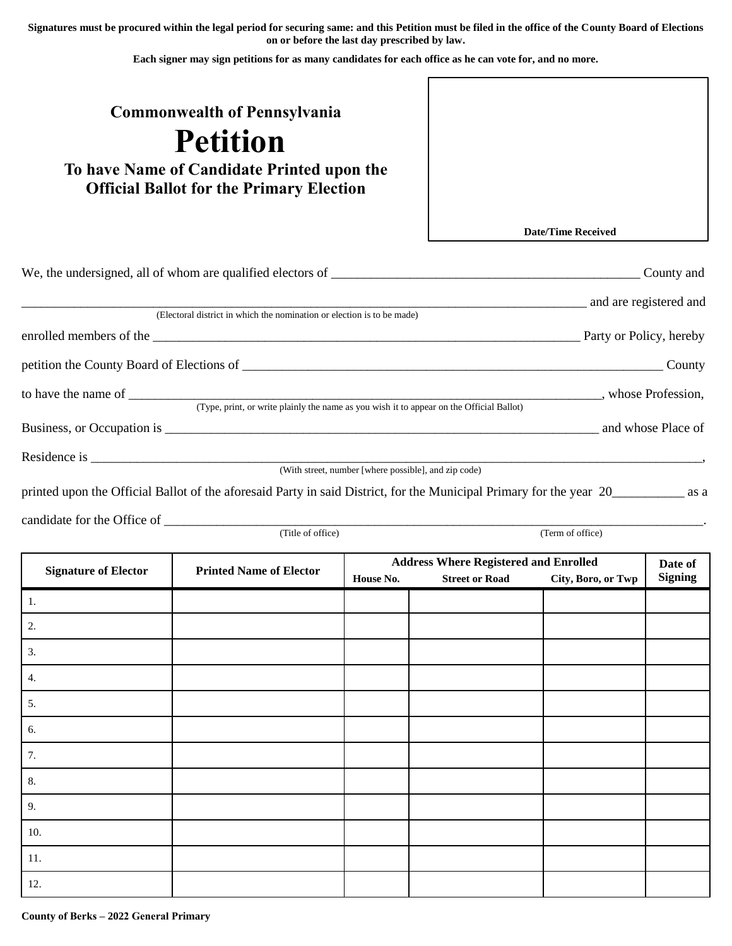**Signatures must be procured within the legal period for securing same: and this Petition must be filed in the office of the County Board of Elections on or before the last day prescribed by law.**

**Each signer may sign petitions for as many candidates for each office as he can vote for, and no more.**

## **Commonwealth of Pennsylvania**

## **Petition**

**To have Name of Candidate Printed upon the Official Ballot for the Primary Election**

**Date/Time Received**

|                                                                                                                                    | County and              |
|------------------------------------------------------------------------------------------------------------------------------------|-------------------------|
|                                                                                                                                    | and are registered and  |
| (Electoral district in which the nomination or election is to be made)                                                             |                         |
|                                                                                                                                    | Party or Policy, hereby |
| petition the County Board of Elections of                                                                                          | County                  |
| to have the name of<br>(Type, print, or write plainly the name as you wish it to appear on the Official Ballot)                    | whose Profession,       |
|                                                                                                                                    | and whose Place of      |
|                                                                                                                                    |                         |
| (With street, number [where possible], and zip code)                                                                               |                         |
| printed upon the Official Ballot of the aforesaid Party in said District, for the Municipal Primary for the year 20 _________ as a |                         |

candidate for the Office of \_\_\_\_\_\_\_\_\_\_\_\_\_\_\_\_\_\_\_\_\_\_\_\_\_\_\_\_\_\_\_\_\_\_\_\_\_\_\_\_\_\_\_\_\_\_\_\_\_\_\_\_\_\_\_\_\_\_\_\_\_\_\_\_\_\_\_\_\_\_\_\_\_\_\_\_\_\_\_\_\_\_.

|                             | (Title of office)              |                                              |                       | (Term of office)   |                |
|-----------------------------|--------------------------------|----------------------------------------------|-----------------------|--------------------|----------------|
| <b>Signature of Elector</b> | <b>Printed Name of Elector</b> | <b>Address Where Registered and Enrolled</b> |                       |                    | Date of        |
|                             |                                | House No.                                    | <b>Street or Road</b> | City, Boro, or Twp | <b>Signing</b> |
| 1.                          |                                |                                              |                       |                    |                |
| 2.                          |                                |                                              |                       |                    |                |
| 3.                          |                                |                                              |                       |                    |                |
| 4.                          |                                |                                              |                       |                    |                |
| 5.                          |                                |                                              |                       |                    |                |
| 6.                          |                                |                                              |                       |                    |                |
| 7.                          |                                |                                              |                       |                    |                |
| 8.                          |                                |                                              |                       |                    |                |
| 9.                          |                                |                                              |                       |                    |                |
| 10.                         |                                |                                              |                       |                    |                |
| 11.                         |                                |                                              |                       |                    |                |
| 12.                         |                                |                                              |                       |                    |                |